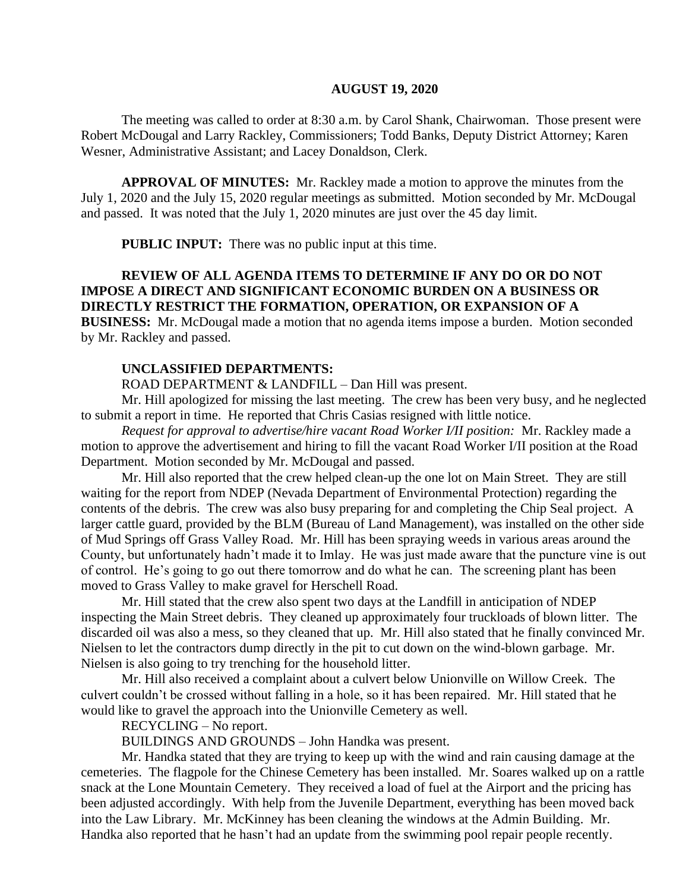#### **AUGUST 19, 2020**

The meeting was called to order at 8:30 a.m. by Carol Shank, Chairwoman. Those present were Robert McDougal and Larry Rackley, Commissioners; Todd Banks, Deputy District Attorney; Karen Wesner, Administrative Assistant; and Lacey Donaldson, Clerk.

**APPROVAL OF MINUTES:** Mr. Rackley made a motion to approve the minutes from the July 1, 2020 and the July 15, 2020 regular meetings as submitted. Motion seconded by Mr. McDougal and passed. It was noted that the July 1, 2020 minutes are just over the 45 day limit.

**PUBLIC INPUT:** There was no public input at this time.

# **REVIEW OF ALL AGENDA ITEMS TO DETERMINE IF ANY DO OR DO NOT IMPOSE A DIRECT AND SIGNIFICANT ECONOMIC BURDEN ON A BUSINESS OR DIRECTLY RESTRICT THE FORMATION, OPERATION, OR EXPANSION OF A BUSINESS:** Mr. McDougal made a motion that no agenda items impose a burden. Motion seconded

by Mr. Rackley and passed.

### **UNCLASSIFIED DEPARTMENTS:**

ROAD DEPARTMENT & LANDFILL – Dan Hill was present.

Mr. Hill apologized for missing the last meeting. The crew has been very busy, and he neglected to submit a report in time. He reported that Chris Casias resigned with little notice.

*Request for approval to advertise/hire vacant Road Worker I/II position:* Mr. Rackley made a motion to approve the advertisement and hiring to fill the vacant Road Worker I/II position at the Road Department. Motion seconded by Mr. McDougal and passed.

Mr. Hill also reported that the crew helped clean-up the one lot on Main Street. They are still waiting for the report from NDEP (Nevada Department of Environmental Protection) regarding the contents of the debris. The crew was also busy preparing for and completing the Chip Seal project. A larger cattle guard, provided by the BLM (Bureau of Land Management), was installed on the other side of Mud Springs off Grass Valley Road. Mr. Hill has been spraying weeds in various areas around the County, but unfortunately hadn't made it to Imlay. He was just made aware that the puncture vine is out of control. He's going to go out there tomorrow and do what he can. The screening plant has been moved to Grass Valley to make gravel for Herschell Road.

Mr. Hill stated that the crew also spent two days at the Landfill in anticipation of NDEP inspecting the Main Street debris. They cleaned up approximately four truckloads of blown litter. The discarded oil was also a mess, so they cleaned that up. Mr. Hill also stated that he finally convinced Mr. Nielsen to let the contractors dump directly in the pit to cut down on the wind-blown garbage. Mr. Nielsen is also going to try trenching for the household litter.

Mr. Hill also received a complaint about a culvert below Unionville on Willow Creek. The culvert couldn't be crossed without falling in a hole, so it has been repaired. Mr. Hill stated that he would like to gravel the approach into the Unionville Cemetery as well.

RECYCLING – No report.

BUILDINGS AND GROUNDS – John Handka was present.

Mr. Handka stated that they are trying to keep up with the wind and rain causing damage at the cemeteries. The flagpole for the Chinese Cemetery has been installed. Mr. Soares walked up on a rattle snack at the Lone Mountain Cemetery. They received a load of fuel at the Airport and the pricing has been adjusted accordingly. With help from the Juvenile Department, everything has been moved back into the Law Library. Mr. McKinney has been cleaning the windows at the Admin Building. Mr. Handka also reported that he hasn't had an update from the swimming pool repair people recently.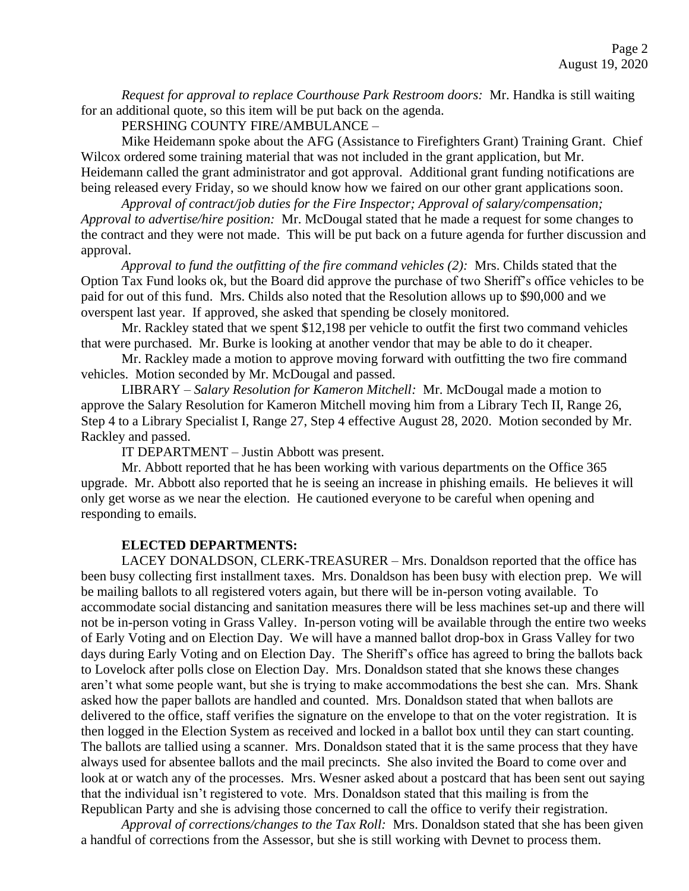*Request for approval to replace Courthouse Park Restroom doors:* Mr. Handka is still waiting for an additional quote, so this item will be put back on the agenda.

PERSHING COUNTY FIRE/AMBULANCE –

Mike Heidemann spoke about the AFG (Assistance to Firefighters Grant) Training Grant. Chief Wilcox ordered some training material that was not included in the grant application, but Mr. Heidemann called the grant administrator and got approval. Additional grant funding notifications are being released every Friday, so we should know how we faired on our other grant applications soon.

*Approval of contract/job duties for the Fire Inspector; Approval of salary/compensation; Approval to advertise/hire position:* Mr. McDougal stated that he made a request for some changes to the contract and they were not made. This will be put back on a future agenda for further discussion and approval.

*Approval to fund the outfitting of the fire command vehicles (2):* Mrs. Childs stated that the Option Tax Fund looks ok, but the Board did approve the purchase of two Sheriff's office vehicles to be paid for out of this fund. Mrs. Childs also noted that the Resolution allows up to \$90,000 and we overspent last year. If approved, she asked that spending be closely monitored.

Mr. Rackley stated that we spent \$12,198 per vehicle to outfit the first two command vehicles that were purchased. Mr. Burke is looking at another vendor that may be able to do it cheaper.

Mr. Rackley made a motion to approve moving forward with outfitting the two fire command vehicles. Motion seconded by Mr. McDougal and passed.

LIBRARY – *Salary Resolution for Kameron Mitchell:* Mr. McDougal made a motion to approve the Salary Resolution for Kameron Mitchell moving him from a Library Tech II, Range 26, Step 4 to a Library Specialist I, Range 27, Step 4 effective August 28, 2020. Motion seconded by Mr. Rackley and passed.

IT DEPARTMENT – Justin Abbott was present.

Mr. Abbott reported that he has been working with various departments on the Office 365 upgrade. Mr. Abbott also reported that he is seeing an increase in phishing emails. He believes it will only get worse as we near the election. He cautioned everyone to be careful when opening and responding to emails.

## **ELECTED DEPARTMENTS:**

LACEY DONALDSON, CLERK-TREASURER – Mrs. Donaldson reported that the office has been busy collecting first installment taxes. Mrs. Donaldson has been busy with election prep. We will be mailing ballots to all registered voters again, but there will be in-person voting available. To accommodate social distancing and sanitation measures there will be less machines set-up and there will not be in-person voting in Grass Valley. In-person voting will be available through the entire two weeks of Early Voting and on Election Day. We will have a manned ballot drop-box in Grass Valley for two days during Early Voting and on Election Day. The Sheriff's office has agreed to bring the ballots back to Lovelock after polls close on Election Day. Mrs. Donaldson stated that she knows these changes aren't what some people want, but she is trying to make accommodations the best she can. Mrs. Shank asked how the paper ballots are handled and counted. Mrs. Donaldson stated that when ballots are delivered to the office, staff verifies the signature on the envelope to that on the voter registration. It is then logged in the Election System as received and locked in a ballot box until they can start counting. The ballots are tallied using a scanner. Mrs. Donaldson stated that it is the same process that they have always used for absentee ballots and the mail precincts. She also invited the Board to come over and look at or watch any of the processes. Mrs. Wesner asked about a postcard that has been sent out saying that the individual isn't registered to vote. Mrs. Donaldson stated that this mailing is from the Republican Party and she is advising those concerned to call the office to verify their registration.

*Approval of corrections/changes to the Tax Roll:* Mrs. Donaldson stated that she has been given a handful of corrections from the Assessor, but she is still working with Devnet to process them.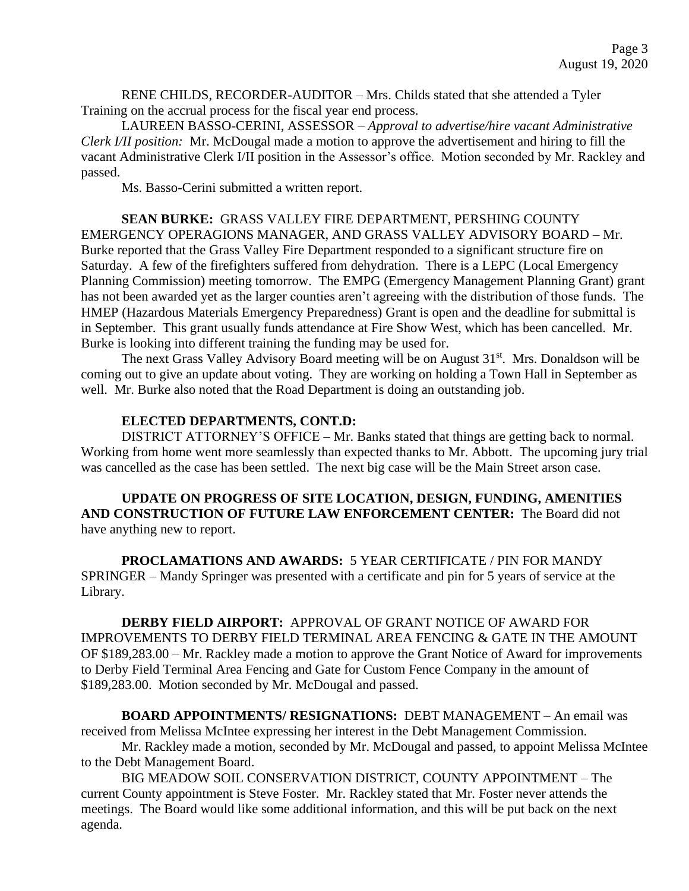RENE CHILDS, RECORDER-AUDITOR – Mrs. Childs stated that she attended a Tyler Training on the accrual process for the fiscal year end process.

LAUREEN BASSO-CERINI, ASSESSOR – *Approval to advertise/hire vacant Administrative Clerk I/II position:* Mr. McDougal made a motion to approve the advertisement and hiring to fill the vacant Administrative Clerk I/II position in the Assessor's office. Motion seconded by Mr. Rackley and passed.

Ms. Basso-Cerini submitted a written report.

**SEAN BURKE:** GRASS VALLEY FIRE DEPARTMENT, PERSHING COUNTY EMERGENCY OPERAGIONS MANAGER, AND GRASS VALLEY ADVISORY BOARD – Mr. Burke reported that the Grass Valley Fire Department responded to a significant structure fire on Saturday. A few of the firefighters suffered from dehydration. There is a LEPC (Local Emergency Planning Commission) meeting tomorrow. The EMPG (Emergency Management Planning Grant) grant has not been awarded yet as the larger counties aren't agreeing with the distribution of those funds. The HMEP (Hazardous Materials Emergency Preparedness) Grant is open and the deadline for submittal is in September. This grant usually funds attendance at Fire Show West, which has been cancelled. Mr. Burke is looking into different training the funding may be used for.

The next Grass Valley Advisory Board meeting will be on August 31<sup>st</sup>. Mrs. Donaldson will be coming out to give an update about voting. They are working on holding a Town Hall in September as well. Mr. Burke also noted that the Road Department is doing an outstanding job.

### **ELECTED DEPARTMENTS, CONT.D:**

DISTRICT ATTORNEY'S OFFICE – Mr. Banks stated that things are getting back to normal. Working from home went more seamlessly than expected thanks to Mr. Abbott. The upcoming jury trial was cancelled as the case has been settled. The next big case will be the Main Street arson case.

**UPDATE ON PROGRESS OF SITE LOCATION, DESIGN, FUNDING, AMENITIES AND CONSTRUCTION OF FUTURE LAW ENFORCEMENT CENTER:** The Board did not have anything new to report.

**PROCLAMATIONS AND AWARDS:** 5 YEAR CERTIFICATE / PIN FOR MANDY SPRINGER – Mandy Springer was presented with a certificate and pin for 5 years of service at the Library.

**DERBY FIELD AIRPORT:** APPROVAL OF GRANT NOTICE OF AWARD FOR IMPROVEMENTS TO DERBY FIELD TERMINAL AREA FENCING & GATE IN THE AMOUNT OF \$189,283.00 – Mr. Rackley made a motion to approve the Grant Notice of Award for improvements to Derby Field Terminal Area Fencing and Gate for Custom Fence Company in the amount of \$189,283.00. Motion seconded by Mr. McDougal and passed.

**BOARD APPOINTMENTS/ RESIGNATIONS:** DEBT MANAGEMENT – An email was received from Melissa McIntee expressing her interest in the Debt Management Commission.

Mr. Rackley made a motion, seconded by Mr. McDougal and passed, to appoint Melissa McIntee to the Debt Management Board.

BIG MEADOW SOIL CONSERVATION DISTRICT, COUNTY APPOINTMENT – The current County appointment is Steve Foster. Mr. Rackley stated that Mr. Foster never attends the meetings. The Board would like some additional information, and this will be put back on the next agenda.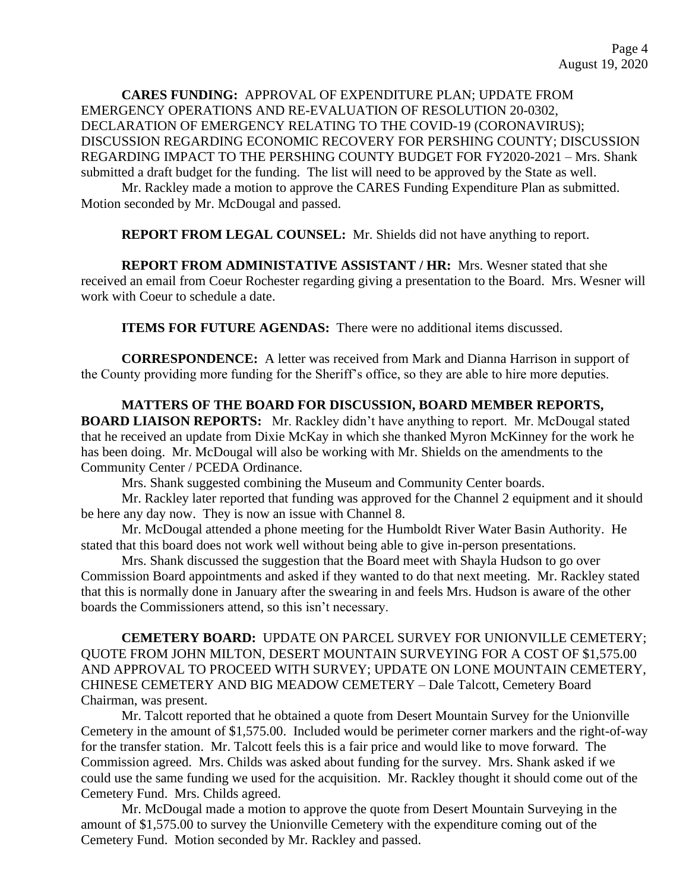**CARES FUNDING:** APPROVAL OF EXPENDITURE PLAN; UPDATE FROM EMERGENCY OPERATIONS AND RE-EVALUATION OF RESOLUTION 20-0302, DECLARATION OF EMERGENCY RELATING TO THE COVID-19 (CORONAVIRUS); DISCUSSION REGARDING ECONOMIC RECOVERY FOR PERSHING COUNTY; DISCUSSION REGARDING IMPACT TO THE PERSHING COUNTY BUDGET FOR FY2020-2021 – Mrs. Shank submitted a draft budget for the funding. The list will need to be approved by the State as well.

Mr. Rackley made a motion to approve the CARES Funding Expenditure Plan as submitted. Motion seconded by Mr. McDougal and passed.

**REPORT FROM LEGAL COUNSEL:** Mr. Shields did not have anything to report.

**REPORT FROM ADMINISTATIVE ASSISTANT / HR:** Mrs. Wesner stated that she received an email from Coeur Rochester regarding giving a presentation to the Board. Mrs. Wesner will work with Coeur to schedule a date.

**ITEMS FOR FUTURE AGENDAS:** There were no additional items discussed.

**CORRESPONDENCE:** A letter was received from Mark and Dianna Harrison in support of the County providing more funding for the Sheriff's office, so they are able to hire more deputies.

**MATTERS OF THE BOARD FOR DISCUSSION, BOARD MEMBER REPORTS, BOARD LIAISON REPORTS:** Mr. Rackley didn't have anything to report. Mr. McDougal stated that he received an update from Dixie McKay in which she thanked Myron McKinney for the work he has been doing. Mr. McDougal will also be working with Mr. Shields on the amendments to the Community Center / PCEDA Ordinance.

Mrs. Shank suggested combining the Museum and Community Center boards.

Mr. Rackley later reported that funding was approved for the Channel 2 equipment and it should be here any day now. They is now an issue with Channel 8.

Mr. McDougal attended a phone meeting for the Humboldt River Water Basin Authority. He stated that this board does not work well without being able to give in-person presentations.

Mrs. Shank discussed the suggestion that the Board meet with Shayla Hudson to go over Commission Board appointments and asked if they wanted to do that next meeting. Mr. Rackley stated that this is normally done in January after the swearing in and feels Mrs. Hudson is aware of the other boards the Commissioners attend, so this isn't necessary.

**CEMETERY BOARD:** UPDATE ON PARCEL SURVEY FOR UNIONVILLE CEMETERY; QUOTE FROM JOHN MILTON, DESERT MOUNTAIN SURVEYING FOR A COST OF \$1,575.00 AND APPROVAL TO PROCEED WITH SURVEY; UPDATE ON LONE MOUNTAIN CEMETERY, CHINESE CEMETERY AND BIG MEADOW CEMETERY – Dale Talcott, Cemetery Board Chairman, was present.

Mr. Talcott reported that he obtained a quote from Desert Mountain Survey for the Unionville Cemetery in the amount of \$1,575.00. Included would be perimeter corner markers and the right-of-way for the transfer station. Mr. Talcott feels this is a fair price and would like to move forward. The Commission agreed. Mrs. Childs was asked about funding for the survey. Mrs. Shank asked if we could use the same funding we used for the acquisition. Mr. Rackley thought it should come out of the Cemetery Fund. Mrs. Childs agreed.

Mr. McDougal made a motion to approve the quote from Desert Mountain Surveying in the amount of \$1,575.00 to survey the Unionville Cemetery with the expenditure coming out of the Cemetery Fund. Motion seconded by Mr. Rackley and passed.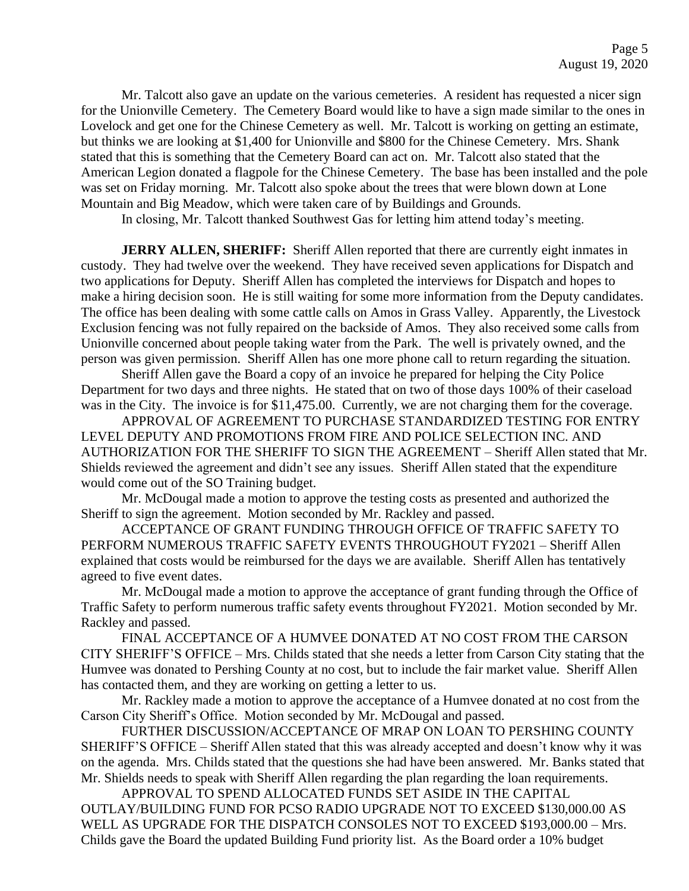Mr. Talcott also gave an update on the various cemeteries. A resident has requested a nicer sign for the Unionville Cemetery. The Cemetery Board would like to have a sign made similar to the ones in Lovelock and get one for the Chinese Cemetery as well. Mr. Talcott is working on getting an estimate, but thinks we are looking at \$1,400 for Unionville and \$800 for the Chinese Cemetery. Mrs. Shank stated that this is something that the Cemetery Board can act on. Mr. Talcott also stated that the American Legion donated a flagpole for the Chinese Cemetery. The base has been installed and the pole was set on Friday morning. Mr. Talcott also spoke about the trees that were blown down at Lone Mountain and Big Meadow, which were taken care of by Buildings and Grounds.

In closing, Mr. Talcott thanked Southwest Gas for letting him attend today's meeting.

**JERRY ALLEN, SHERIFF:** Sheriff Allen reported that there are currently eight inmates in custody. They had twelve over the weekend. They have received seven applications for Dispatch and two applications for Deputy. Sheriff Allen has completed the interviews for Dispatch and hopes to make a hiring decision soon. He is still waiting for some more information from the Deputy candidates. The office has been dealing with some cattle calls on Amos in Grass Valley. Apparently, the Livestock Exclusion fencing was not fully repaired on the backside of Amos. They also received some calls from Unionville concerned about people taking water from the Park. The well is privately owned, and the person was given permission. Sheriff Allen has one more phone call to return regarding the situation.

Sheriff Allen gave the Board a copy of an invoice he prepared for helping the City Police Department for two days and three nights. He stated that on two of those days 100% of their caseload was in the City. The invoice is for \$11,475.00. Currently, we are not charging them for the coverage.

APPROVAL OF AGREEMENT TO PURCHASE STANDARDIZED TESTING FOR ENTRY LEVEL DEPUTY AND PROMOTIONS FROM FIRE AND POLICE SELECTION INC. AND AUTHORIZATION FOR THE SHERIFF TO SIGN THE AGREEMENT – Sheriff Allen stated that Mr. Shields reviewed the agreement and didn't see any issues. Sheriff Allen stated that the expenditure would come out of the SO Training budget.

Mr. McDougal made a motion to approve the testing costs as presented and authorized the Sheriff to sign the agreement. Motion seconded by Mr. Rackley and passed.

ACCEPTANCE OF GRANT FUNDING THROUGH OFFICE OF TRAFFIC SAFETY TO PERFORM NUMEROUS TRAFFIC SAFETY EVENTS THROUGHOUT FY2021 – Sheriff Allen explained that costs would be reimbursed for the days we are available. Sheriff Allen has tentatively agreed to five event dates.

Mr. McDougal made a motion to approve the acceptance of grant funding through the Office of Traffic Safety to perform numerous traffic safety events throughout FY2021. Motion seconded by Mr. Rackley and passed.

FINAL ACCEPTANCE OF A HUMVEE DONATED AT NO COST FROM THE CARSON CITY SHERIFF'S OFFICE – Mrs. Childs stated that she needs a letter from Carson City stating that the Humvee was donated to Pershing County at no cost, but to include the fair market value. Sheriff Allen has contacted them, and they are working on getting a letter to us.

Mr. Rackley made a motion to approve the acceptance of a Humvee donated at no cost from the Carson City Sheriff's Office. Motion seconded by Mr. McDougal and passed.

FURTHER DISCUSSION/ACCEPTANCE OF MRAP ON LOAN TO PERSHING COUNTY SHERIFF'S OFFICE – Sheriff Allen stated that this was already accepted and doesn't know why it was on the agenda. Mrs. Childs stated that the questions she had have been answered. Mr. Banks stated that Mr. Shields needs to speak with Sheriff Allen regarding the plan regarding the loan requirements.

APPROVAL TO SPEND ALLOCATED FUNDS SET ASIDE IN THE CAPITAL OUTLAY/BUILDING FUND FOR PCSO RADIO UPGRADE NOT TO EXCEED \$130,000.00 AS WELL AS UPGRADE FOR THE DISPATCH CONSOLES NOT TO EXCEED \$193,000.00 – Mrs. Childs gave the Board the updated Building Fund priority list. As the Board order a 10% budget